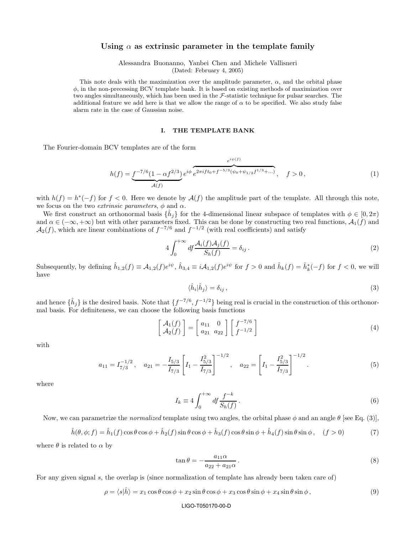# Using  $\alpha$  as extrinsic parameter in the template family

Alessandra Buonanno, Yanbei Chen and Michele Vallisneri (Dated: February 4, 2005)

This note deals with the maximization over the amplitude parameter,  $\alpha$ , and the orbital phase  $\phi$ , in the non-precessing BCV template bank. It is based on existing methods of maximization over two angles simultaneously, which has been used in the F-statistic technique for pulsar searches. The additional feature we add here is that we allow the range of  $\alpha$  to be specified. We also study false alarm rate in the case of Gaussian noise.

## I. THE TEMPLATE BANK

The Fourier-domain BCV templates are of the form

$$
h(f) = \underbrace{f^{-7/6} (1 - \alpha f^{2/3})}_{\mathcal{A}(f)} e^{i\phi} \underbrace{e^{2\pi i f t_0 + f^{-5/3} (\psi_0 + \psi_{1/2} f^{1/3} + \dots)}}_{\mathcal{A}(f)}, \quad f > 0,
$$
\n
$$
(1)
$$

with  $h(f) = h^*(-f)$  for  $f < 0$ . Here we denote by  $\mathcal{A}(f)$  the amplitude part of the template. All through this note, we focus on the two *extrinsic parameters*,  $\phi$  and  $\alpha$ .

We first construct an orthonormal basis  $\{\hat{h}_j\}$  for the 4-dimensional linear subspace of templates with  $\phi \in [0, 2\pi)$ and  $\alpha \in (-\infty, +\infty)$  but with other parameters fixed. This can be done by constructing two real functions,  $\mathcal{A}_1(f)$  and  $\mathcal{A}_2(f)$ , which are linear combinations of  $f^{-7/6}$  and  $f^{-1/2}$  (with real coefficients) and satisfy

$$
4\int_0^{+\infty} df \frac{\mathcal{A}_i(f)\mathcal{A}_j(f)}{S_h(f)} = \delta_{ij} \,. \tag{2}
$$

Subsequently, by defining  $\hat{h}_{1,2}(f) \equiv \mathcal{A}_{1,2}(f)e^{i\psi}, \hat{h}_{3,4} \equiv i\mathcal{A}_{1,2}(f)e^{i\psi}$  for  $f > 0$  and  $\hat{h}_k(f) = \hat{h}_k^*(-f)$  for  $f < 0$ , we will have

$$
\langle \hat{h}_i | \hat{h}_j \rangle = \delta_{ij} , \qquad (3)
$$

and hence  $\{\hat{h}_j\}$  is the desired basis. Note that  $\{f^{-7/6}, f^{-1/2}\}$  being real is crucial in the construction of this orthonormal basis. For definiteness, we can choose the following basis functions

$$
\begin{bmatrix} \mathcal{A}_1(f) \\ \mathcal{A}_2(f) \end{bmatrix} = \begin{bmatrix} a_{11} & 0 \\ a_{21} & a_{22} \end{bmatrix} \begin{bmatrix} f^{-7/6} \\ f^{-1/2} \end{bmatrix}
$$
 (4)

with

$$
a_{11} = I_{7/3}^{-1/2}, \quad a_{21} = -\frac{I_{5/3}}{I_{7/3}} \left[ I_1 - \frac{I_{5/3}^2}{I_{7/3}} \right]^{-1/2}, \quad a_{22} = \left[ I_1 - \frac{I_{5/3}^2}{I_{7/3}} \right]^{-1/2}.
$$
 (5)

where

$$
I_k \equiv 4 \int_0^{+\infty} df \frac{f^{-k}}{S_h(f)}.
$$
\n(6)

Now, we can parametrize the *normalized* template using two angles, the orbital phase  $\phi$  and an angle  $\theta$  [see Eq. (3)],

$$
\hat{h}(\theta,\phi;f) = \hat{h}_1(f)\cos\theta\cos\phi + \hat{h}_2(f)\sin\theta\cos\phi + \hat{h}_3(f)\cos\theta\sin\phi + \hat{h}_4(f)\sin\theta\sin\phi, \quad (f > 0)
$$
\n(7)

where  $\theta$  is related to  $\alpha$  by

$$
\tan \theta = -\frac{a_{11}\alpha}{a_{22} + a_{21}\alpha} \,. \tag{8}
$$

For any given signal s, the overlap is (since normalization of template has already been taken care of)

$$
\rho = \langle s|\hat{h}\rangle = x_1 \cos \theta \cos \phi + x_2 \sin \theta \cos \phi + x_3 \cos \theta \sin \phi + x_4 \sin \theta \sin \phi, \qquad (9)
$$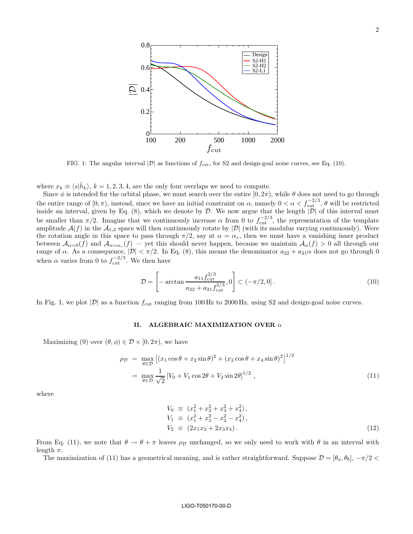

FIG. 1: The angular interval  $|\mathcal{D}|$  as functions of  $f_{\text{cut}}$ , for S2 and design-goal noise curves, see Eq. (10).

where  $x_k \equiv \langle s|\hat{h}_k\rangle, k = 1, 2, 3, 4$ , are the only four overlaps we need to compute.

Since  $\phi$  is intended for the orbital phase, we must search over the entire  $[0, 2\pi)$ , while  $\theta$  does not need to go through the entire range of  $[0, \pi)$ , instead, since we have an initial constraint on  $\alpha$ , namely  $0 < \alpha < f_{\text{cut}}^{-2/3}$ ,  $\theta$  will be restricted inside an interval, given by Eq.  $(8)$ , which we denote by D. We now argue that the length  $|\mathcal{D}|$  of this interval must be smaller than  $\pi/2$ . Imagine that we continuously increase  $\alpha$  from 0 to  $f_{\text{cut}}^{-2/3}$ , the representation of the template amplitude  $\mathcal{A}(f)$  in the  $\mathcal{A}_{1,2}$  space will then continuously rotate by  $|\mathcal{D}|$  (with its modulus varying continuously). Were the rotation angle in this space to pass through  $\pi/2$ , say at  $\alpha = \alpha_*$ , then we must have a vanishing inner product between  $\mathcal{A}_{\alpha=0}(f)$  and  $\mathcal{A}_{\alpha=\alpha_*}(f)$  — yet this should never happen, because we maintain  $\mathcal{A}_{\alpha}(f) > 0$  all through our range of  $\alpha$ . As a consequence,  $|\mathcal{D}| < \pi/2$ . In Eq. (8), this means the denominator  $a_{22} + a_{21}\alpha$  does not go through 0 when  $\alpha$  varies from 0 to  $f_{\text{cut}}^{-2/3}$ . We then have

$$
\mathcal{D} = \left[ -\arctan \frac{a_{11} f_{\text{cut}}^{2/3}}{a_{22} + a_{21} f_{\text{cut}}^{2/3}}, 0 \right] \subset (-\pi/2, 0]. \tag{10}
$$

In Fig. 1, we plot  $|\mathcal{D}|$  as a function  $f_{\text{cut}}$  ranging from 100 Hz to 2000 Hz, using S2 and design-goal noise curves.

# II. ALGEBRAIC MAXIMIZATION OVER  $\alpha$

Maximizing (9) over  $(\theta, \phi) \in \mathcal{D} \times [0, 2\pi)$ , we have

$$
\rho_{\mathcal{D}} = \max_{\theta \in \mathcal{D}} \left[ (x_1 \cos \theta + x_2 \sin \theta)^2 + (x_3 \cos \theta + x_4 \sin \theta)^2 \right]^{1/2}
$$
  
= 
$$
\max_{\theta \in \mathcal{D}} \frac{1}{\sqrt{2}} \left[ V_0 + V_1 \cos 2\theta + V_2 \sin 2\theta \right]^{1/2},
$$
 (11)

where

$$
V_0 \equiv (x_1^2 + x_2^2 + x_3^2 + x_4^2), \nV_1 \equiv (x_1^2 + x_3^2 - x_2^2 - x_4^2), \nV_2 \equiv (2x_1x_2 + 2x_3x_4).
$$
\n(12)

From Eq. (11), we note that  $\theta \to \theta + \pi$  leaves  $\rho_{\mathcal{D}}$  unchanged, so we only need to work with  $\theta$  in an interval with length  $\pi$ .

The maximization of (11) has a geometrical meaning, and is rather straightforward. Suppose  $\mathcal{D} = [\theta_a, \theta_b], -\pi/2 <$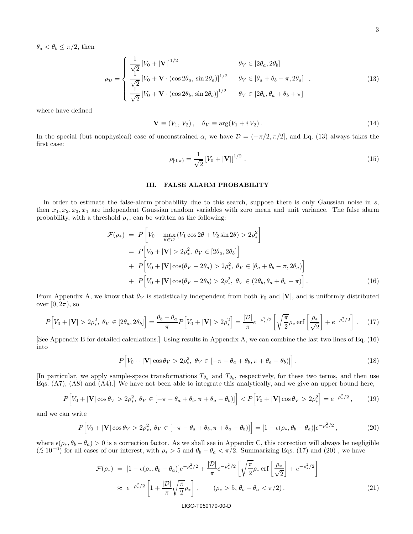$\theta_a < \theta_b \leq \pi/2$ , then

$$
\rho_{\mathcal{D}} = \begin{cases}\n\frac{1}{\sqrt{2}} \left[ V_0 + |\mathbf{V}| \right]^{1/2} & \theta_V \in [2\theta_a, 2\theta_b] \\
\frac{1}{\sqrt{2}} \left[ V_0 + \mathbf{V} \cdot (\cos 2\theta_a, \sin 2\theta_a) \right]^{1/2} & \theta_V \in [\theta_a + \theta_b - \pi, 2\theta_a] \\
\frac{1}{\sqrt{2}} \left[ V_0 + \mathbf{V} \cdot (\cos 2\theta_b, \sin 2\theta_b) \right]^{1/2} & \theta_V \in [2\theta_b, \theta_a + \theta_b + \pi]\n\end{cases} \tag{13}
$$

where have defined

$$
\mathbf{V} \equiv (V_1, V_2), \quad \theta_V \equiv \arg(V_1 + i V_2). \tag{14}
$$

In the special (but nonphysical) case of unconstrained  $\alpha$ , we have  $\mathcal{D} = (-\pi/2, \pi/2]$ , and Eq. (13) always takes the first case:

$$
\rho_{[0,\pi)} = \frac{1}{\sqrt{2}} \left[ V_0 + |\mathbf{V}| \right]^{1/2} . \tag{15}
$$

# III. FALSE ALARM PROBABILITY

In order to estimate the false-alarm probability due to this search, suppose there is only Gaussian noise in s, then  $x_1, x_2, x_3, x_4$  are independent Gaussian random variables with zero mean and unit variance. The false alarm probability, with a threshold  $\rho_*,$  can be written as the following:

$$
\mathcal{F}(\rho_*) = P\left[V_0 + \max_{\theta \in \mathcal{D}} (V_1 \cos 2\theta + V_2 \sin 2\theta) > 2\rho_*^2\right]
$$
  
\n
$$
= P\left[V_0 + |\mathbf{V}| > 2\rho_*^2, \ \theta_V \in [2\theta_a, 2\theta_b]\right]
$$
  
\n
$$
+ P\left[V_0 + |\mathbf{V}| \cos(\theta_V - 2\theta_a) > 2\rho_*^2, \ \theta_V \in [\theta_a + \theta_b - \pi, 2\theta_a]\right]
$$
  
\n
$$
+ P\left[V_0 + |\mathbf{V}| \cos(\theta_V - 2\theta_b) > 2\rho_*^2, \ \theta_V \in (2\theta_b, \theta_a + \theta_b + \pi)\right].
$$
\n(16)

From Appendix A, we know that  $\theta_V$  is statistically independent from both  $V_0$  and  $|V|$ , and is uniformly distributed over  $[0, 2\pi)$ , so

$$
P\Big[V_0 + |\mathbf{V}| > 2\rho_*^2, \ \theta_V \in [2\theta_a, 2\theta_b]\Big] = \frac{\theta_b - \theta_a}{\pi} P\Big[V_0 + |\mathbf{V}| > 2\rho_*^2\Big] = \frac{|\mathcal{D}|}{\pi} e^{-\rho_*^2/2} \left[\sqrt{\frac{\pi}{2}} \rho_* \operatorname{erf}\left[\frac{\rho_*}{\sqrt{2}}\right] + e^{-\rho_*^2/2}\right].\tag{17}
$$

[See Appendix B for detailed calculations.] Using results in Appendix A, we can combine the last two lines of Eq. (16) into

$$
P[V_0 + |\mathbf{V}| \cos \theta_V > 2\rho_*^2, \ \theta_V \in [-\pi - \theta_a + \theta_b, \pi + \theta_a - \theta_b)]\big]. \tag{18}
$$

[In particular, we apply sample-space transformations  $T_{\theta_a}$  and  $T_{\theta_b}$ , respectively, for these two terms, and then use Eqs. (A7), (A8) and (A4).] We have not been able to integrate this analytically, and we give an upper bound here,

$$
P\Big[V_0 + |\mathbf{V}| \cos \theta_V > 2\rho_*^2, \ \theta_V \in [-\pi - \theta_a + \theta_b, \pi + \theta_a - \theta_b)]\Big] < P\Big[V_0 + |\mathbf{V}| \cos \theta_V > 2\rho_*^2\Big] = e^{-\rho_*^2/2},\tag{19}
$$

and we can write

$$
P[V_0 + |\mathbf{V}| \cos \theta_V > 2\rho_*^2, \ \theta_V \in [-\pi - \theta_a + \theta_b, \pi + \theta_a - \theta_b)] = [1 - \epsilon(\rho_*, \theta_b - \theta_a)]e^{-\rho_*^2/2},\tag{20}
$$

where  $\epsilon(\rho_*, \theta_b - \theta_a) > 0$  is a correction factor. As we shall see in Appendix C, this correction will always be negligible  $( ≤ 10<sup>-6</sup>)$  for all cases of our interest, with  $ρ_* > 5$  and  $θ_b − θ_a < π/2$ . Summarizing Eqs. (17) and (20), we have

$$
\mathcal{F}(\rho_*) = [1 - \epsilon(\rho_*, \theta_b - \theta_a)]e^{-\rho_*^2/2} + \frac{|\mathcal{D}|}{\pi}e^{-\rho_*^2/2} \left[ \sqrt{\frac{\pi}{2}} \rho_* \operatorname{erf} \left[ \frac{\rho_*}{\sqrt{2}} \right] + e^{-\rho_*^2/2} \right] \approx e^{-\rho_*^2/2} \left[ 1 + \frac{|\mathcal{D}|}{\pi} \sqrt{\frac{\pi}{2}} \rho_* \right], \qquad (\rho_* > 5, \theta_b - \theta_a < \pi/2).
$$
\n(21)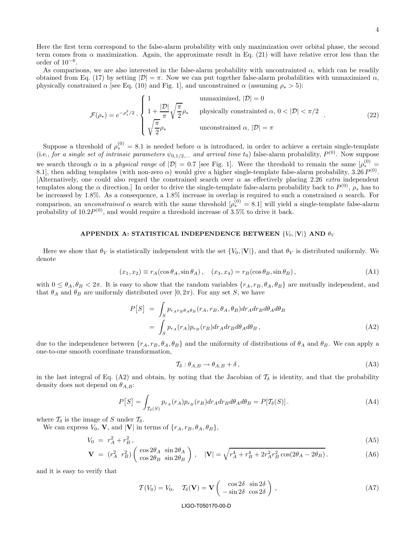Here the first term correspond to the false-alarm probability with only maximization over orbital phase, the second term comes from  $\alpha$  maximization. Again, the approximate result in Eq. (21) will have relative error less than the order of  $10^{-6}$ .

As comparisons, we are also interested in the false-alarm probability with uncontrainted  $\alpha$ , which can be readily obtained from Eq. (17) by setting  $|\mathcal{D}| = \pi$ . Now we can put together false-alarm probabilities with unmaximized  $\alpha$ , physically constrained  $\alpha$  [see Eq. (10) and Fig. 1], and unconstrained  $\alpha$  (assuming  $\rho_* > 5$ ):

$$
\mathcal{F}(\rho_*) = e^{-\rho_*^2/2} \cdot \begin{cases} 1 & \text{unmaximized, } |\mathcal{D}| = 0 \\ 1 + \frac{|\mathcal{D}|}{\pi} \sqrt{\frac{\pi}{2}} \rho_* & \text{physically constrained } \alpha, 0 < |\mathcal{D}| < \pi/2 \\ \sqrt{\frac{\pi}{2}} \rho_* & \text{unconstrained } \alpha, |\mathcal{D}| = \pi \end{cases}
$$
(22)

Suppose a threshold of  $\rho_*^{(0)} = 8.1$  is needed before  $\alpha$  is introduced, in order to achieve a certain single-template (i.e., for a single set of intrinsic parameters  $\psi_{0,1/2,...}$  and arrival time  $t_0$ ) false-alarm probability,  $P^{(0)}$ . Now suppose we search through  $\alpha$  in a physical range of  $|\mathcal{D}| = 0.7$  [see Fig. 1]. Were the threshold to remain the same  $[\rho_*^{(0)}]$ 8.1], then adding templates (with non-zero  $\alpha$ ) would give a higher single-template false-alarm probability, 3.26  $P^{(0)}$ . [Alternatively, one could also regard the constrained search over  $\alpha$  as effectively placing 2.26 *extra* independent templates along the  $\alpha$  direction.] In order to drive the single-template false-alarm probability back to  $P^{(0)}$ ,  $\rho_*$  has to be increased by 1.8%. As a consequence, a 1.8% increase in overlap is required to such a constrained  $\alpha$  search. For comparison, an *unconstrained*  $\alpha$  search with the same threshold  $[\rho_*^{(0)} = 8.1]$  will yield a single-template false-alarm probability of  $10.2P^{(0)}$ , and would require a threshold increase of  $3.5\%$  to drive it back.

# APPENDIX A: STATISTICAL INDEPENDENCE BETWEEN  $\{V_0, |\mathbf{V}|\}$  and  $\theta_V$

Here we show that  $\theta_V$  is statistically independent with the set  $\{V_0, |\mathbf{V}|\}$ , and that  $\theta_V$  is distributed uniformly. We denote

$$
(x_1, x_2) \equiv r_A(\cos \theta_A, \sin \theta_A), \quad (x_3, x_4) = r_B(\cos \theta_B, \sin \theta_B), \tag{A1}
$$

with  $0 \le \theta_A, \theta_B < 2\pi$ . It is easy to show that the random variables  $\{r_A, r_B, \theta_A, \theta_B\}$  are mutually independent, and that  $\theta_A$  and  $\theta_B$  are uniformly distributed over [0, 2 $\pi$ ). For any set S, we have

$$
P[S] = \int_{S} p_{r_A r_B \theta_A \theta_B}(r_A, r_B, \theta_A, \theta_B) dr_A dr_B d\theta_A d\theta_B
$$
  
= 
$$
\int_{S} p_{r_A}(r_A) p_{r_B}(r_B) dr_A dr_B d\theta_A d\theta_B,
$$
 (A2)

due to the independence between  $\{r_A, r_B, \theta_A, \theta_B\}$  and the uniformity of distributions of  $\theta_A$  and  $\theta_B$ . We can apply a one-to-one smooth coordinate transformation,

$$
\mathcal{T}_{\delta}: \theta_{A,B} \to \theta_{A,B} + \delta \,, \tag{A3}
$$

in the last integral of Eq. (A2) and obtain, by noting that the Jacobian of  $\mathcal{T}_{\delta}$  is identity, and that the probability density does not depend on  $\theta_{A,B}$ :

$$
P[S] = \int_{\mathcal{T}_{\delta}(S)} p_{r_A}(r_A) p_{r_B}(r_B) dr_A dr_B d\theta_A d\theta_B = P[\mathcal{T}_{\delta}(S)]. \tag{A4}
$$

where  $\mathcal{T}_{\delta}$  is the image of S under  $\mathcal{T}_{\delta}$ .

We can express  $V_0$ , **V**, and **V** in terms of  $\{r_A, r_B, \theta_A, \theta_B\}$ ,

$$
V_0 = r_A^2 + r_B^2,
$$
\n(A5)

$$
\mathbf{V} = (r_A^2 \ r_B^2) \begin{pmatrix} \cos 2\theta_A & \sin 2\theta_A \\ \cos 2\theta_B & \sin 2\theta_B \end{pmatrix}, \quad |\mathbf{V}| = \sqrt{r_A^4 + r_B^4 + 2r_A^2 r_B^2 \cos(2\theta_A - 2\theta_B)}.
$$
 (A6)

and it is easy to verify that

$$
\mathcal{T}(V_0) = V_0, \quad \mathcal{T}_{\delta}(\mathbf{V}) = \mathbf{V} \begin{pmatrix} \cos 2\delta & \sin 2\delta \\ -\sin 2\delta & \cos 2\delta \end{pmatrix}, \tag{A7}
$$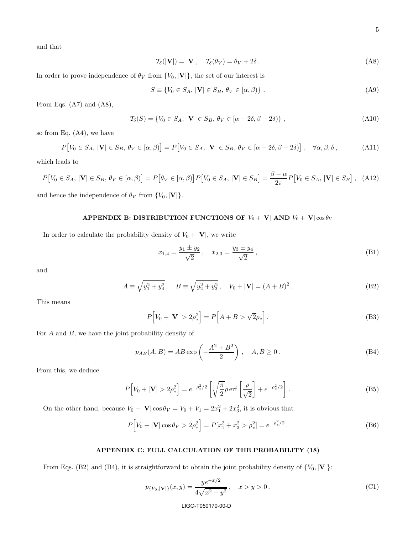and that

$$
\mathcal{T}_{\delta}(|\mathbf{V}|) = |\mathbf{V}|, \quad \mathcal{T}_{\delta}(\theta_V) = \theta_V + 2\delta. \tag{A8}
$$

In order to prove independence of  $\theta_V$  from  $\{V_0, |\mathbf{V}|\}$ , the set of our interest is

$$
S \equiv \{ V_0 \in S_A, |\mathbf{V}| \in S_B, \, \theta_V \in [\alpha, \beta) \} \,.
$$
 (A9)

From Eqs.  $(A7)$  and  $(A8)$ ,

$$
\mathcal{T}_{\delta}(S) = \{ V_0 \in S_A, |\mathbf{V}| \in S_B, \theta_V \in [\alpha - 2\delta, \beta - 2\delta) \},\tag{A10}
$$

so from Eq. (A4), we have

$$
P[V_0 \in S_A, |\mathbf{V}| \in S_B, \theta_V \in [\alpha, \beta)] = P[V_0 \in S_A, |\mathbf{V}| \in S_B, \theta_V \in [\alpha - 2\delta, \beta - 2\delta)], \quad \forall \alpha, \beta, \delta,
$$
 (A11)

which leads to

$$
P[V_0 \in S_A, |\mathbf{V}| \in S_B, \theta_V \in [\alpha, \beta)] = P[\theta_V \in [\alpha, \beta)] P[V_0 \in S_A, |\mathbf{V}| \in S_B] = \frac{\beta - \alpha}{2\pi} P[V_0 \in S_A, |\mathbf{V}| \in S_B], \quad (A12)
$$

and hence the independence of  $\theta_V$  from  $\{V_0, |\mathbf{V}|\}.$ 

# APPENDIX B: DISTRIBUTION FUNCTIONS OF  $V_0 + |\mathbf{V}|$  AND  $V_0 + |\mathbf{V}| \cos \theta_V$

In order to calculate the probability density of  $V_0 + |\mathbf{V}|$ , we write

$$
x_{1,4} = \frac{y_1 \pm y_2}{\sqrt{2}}, \quad x_{2,3} = \frac{y_3 \pm y_4}{\sqrt{2}}, \tag{B1}
$$

and

$$
A \equiv \sqrt{y_1^2 + y_4^2}, \quad B \equiv \sqrt{y_2^2 + y_3^2}, \quad V_0 + |\mathbf{V}| = (A + B)^2.
$$
 (B2)

This means

$$
P[V_0 + |\mathbf{V}| > 2\rho_*^2] = P\left[A + B > \sqrt{2}\rho_*\right].
$$
\n(B3)

For  $A$  and  $B$ , we have the joint probability density of

$$
p_{AB}(A,B) = AB \exp\left(-\frac{A^2 + B^2}{2}\right), \quad A, B \ge 0.
$$
 (B4)

From this, we deduce

$$
P[V_0 + |\mathbf{V}| > 2\rho_*^2] = e^{-\rho_*^2/2} \left[ \sqrt{\frac{\pi}{2}} \rho \operatorname{erf} \left[ \frac{\rho}{\sqrt{2}} \right] + e^{-\rho_*^2/2} \right].
$$
 (B5)

On the other hand, because  $V_0 + |\mathbf{V}| \cos \theta_V = V_0 + V_1 = 2x_1^2 + 2x_3^2$ , it is obvious that

$$
P[V_0 + |\mathbf{V}| \cos \theta_V > 2\rho_*^2] = P[x_1^2 + x_3^2 > \rho_*^2] = e^{-\rho_*^2/2}.
$$
 (B6)

# APPENDIX C: FULL CALCULATION OF THE PROBABILITY (18)

From Eqs. (B2) and (B4), it is straightforward to obtain the joint probability density of  $\{V_0, |\mathbf{V}|\}$ :

$$
p_{\{V_0, |\mathbf{V}|\}}(x, y) = \frac{ye^{-x/2}}{4\sqrt{x^2 - y^2}}, \quad x > y > 0.
$$
 (C1)